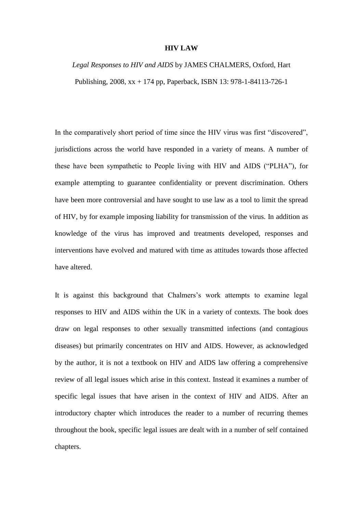## **HIV LAW**

## *Legal Responses to HIV and AIDS* by JAMES CHALMERS, Oxford, Hart Publishing, 2008, xx + 174 pp, Paperback, ISBN 13: 978-1-84113-726-1

In the comparatively short period of time since the HIV virus was first "discovered", jurisdictions across the world have responded in a variety of means. A number of these have been sympathetic to People living with HIV and AIDS ("PLHA"), for example attempting to guarantee confidentiality or prevent discrimination. Others have been more controversial and have sought to use law as a tool to limit the spread of HIV, by for example imposing liability for transmission of the virus. In addition as knowledge of the virus has improved and treatments developed, responses and interventions have evolved and matured with time as attitudes towards those affected have altered.

It is against this background that Chalmers's work attempts to examine legal responses to HIV and AIDS within the UK in a variety of contexts. The book does draw on legal responses to other sexually transmitted infections (and contagious diseases) but primarily concentrates on HIV and AIDS. However, as acknowledged by the author, it is not a textbook on HIV and AIDS law offering a comprehensive review of all legal issues which arise in this context. Instead it examines a number of specific legal issues that have arisen in the context of HIV and AIDS. After an introductory chapter which introduces the reader to a number of recurring themes throughout the book, specific legal issues are dealt with in a number of self contained chapters.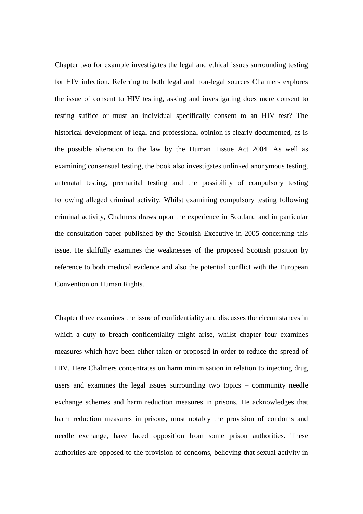Chapter two for example investigates the legal and ethical issues surrounding testing for HIV infection. Referring to both legal and non-legal sources Chalmers explores the issue of consent to HIV testing, asking and investigating does mere consent to testing suffice or must an individual specifically consent to an HIV test? The historical development of legal and professional opinion is clearly documented, as is the possible alteration to the law by the Human Tissue Act 2004. As well as examining consensual testing, the book also investigates unlinked anonymous testing, antenatal testing, premarital testing and the possibility of compulsory testing following alleged criminal activity. Whilst examining compulsory testing following criminal activity, Chalmers draws upon the experience in Scotland and in particular the consultation paper published by the Scottish Executive in 2005 concerning this issue. He skilfully examines the weaknesses of the proposed Scottish position by reference to both medical evidence and also the potential conflict with the European Convention on Human Rights.

Chapter three examines the issue of confidentiality and discusses the circumstances in which a duty to breach confidentiality might arise, whilst chapter four examines measures which have been either taken or proposed in order to reduce the spread of HIV. Here Chalmers concentrates on harm minimisation in relation to injecting drug users and examines the legal issues surrounding two topics – community needle exchange schemes and harm reduction measures in prisons. He acknowledges that harm reduction measures in prisons, most notably the provision of condoms and needle exchange, have faced opposition from some prison authorities. These authorities are opposed to the provision of condoms, believing that sexual activity in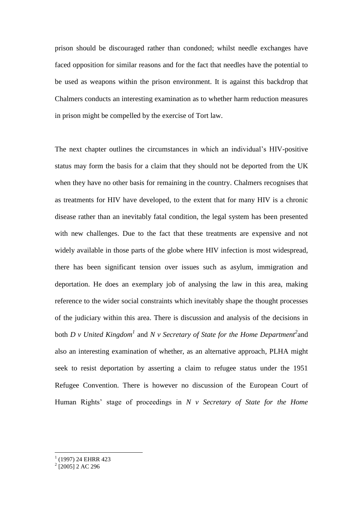prison should be discouraged rather than condoned; whilst needle exchanges have faced opposition for similar reasons and for the fact that needles have the potential to be used as weapons within the prison environment. It is against this backdrop that Chalmers conducts an interesting examination as to whether harm reduction measures in prison might be compelled by the exercise of Tort law.

The next chapter outlines the circumstances in which an individual's HIV-positive status may form the basis for a claim that they should not be deported from the UK when they have no other basis for remaining in the country. Chalmers recognises that as treatments for HIV have developed, to the extent that for many HIV is a chronic disease rather than an inevitably fatal condition, the legal system has been presented with new challenges. Due to the fact that these treatments are expensive and not widely available in those parts of the globe where HIV infection is most widespread, there has been significant tension over issues such as asylum, immigration and deportation. He does an exemplary job of analysing the law in this area, making reference to the wider social constraints which inevitably shape the thought processes of the judiciary within this area. There is discussion and analysis of the decisions in both *D v United Kingdom<sup>1</sup>* and *N v Secretary of State for the Home Department*<sup>2</sup> and also an interesting examination of whether, as an alternative approach, PLHA might seek to resist deportation by asserting a claim to refugee status under the 1951 Refugee Convention. There is however no discussion of the European Court of Human Rights' stage of proceedings in *N v Secretary of State for the Home* 

 1 (1997) 24 EHRR 423 2 [2005] 2 AC 296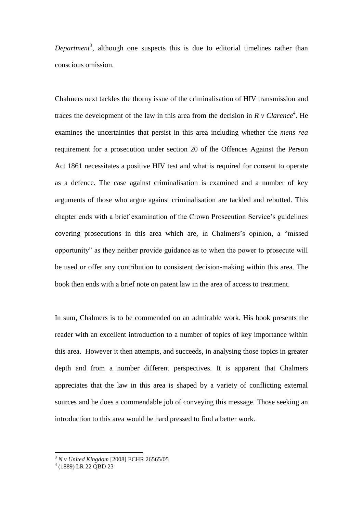*Department*<sup>3</sup>, although one suspects this is due to editorial timelines rather than conscious omission.

Chalmers next tackles the thorny issue of the criminalisation of HIV transmission and traces the development of the law in this area from the decision in  $R$  v Clarence<sup>4</sup>. He examines the uncertainties that persist in this area including whether the *mens rea*  requirement for a prosecution under section 20 of the Offences Against the Person Act 1861 necessitates a positive HIV test and what is required for consent to operate as a defence. The case against criminalisation is examined and a number of key arguments of those who argue against criminalisation are tackled and rebutted. This chapter ends with a brief examination of the Crown Prosecution Service's guidelines covering prosecutions in this area which are, in Chalmers's opinion, a "missed opportunity" as they neither provide guidance as to when the power to prosecute will be used or offer any contribution to consistent decision-making within this area. The book then ends with a brief note on patent law in the area of access to treatment.

In sum, Chalmers is to be commended on an admirable work. His book presents the reader with an excellent introduction to a number of topics of key importance within this area. However it then attempts, and succeeds, in analysing those topics in greater depth and from a number different perspectives. It is apparent that Chalmers appreciates that the law in this area is shaped by a variety of conflicting external sources and he does a commendable job of conveying this message. Those seeking an introduction to this area would be hard pressed to find a better work.

1

<sup>3</sup> *N v United Kingdom* [2008] ECHR 26565/05 4 (1889) LR 22 QBD 23